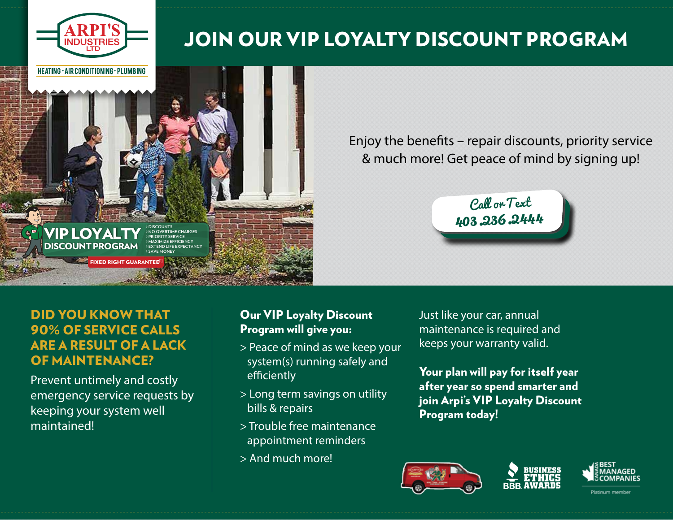

## JOIN OUR VIP LOYALTY DISCOUNT PROGRAM



Enjoy the benefits – repair discounts, priority service & much more! Get peace of mind by signing up!



## DID YOU KNOW THAT 90% OF SERVICE CALLS ARE A RESULT OF A LACK OF MAINTENANCE?

Prevent untimely and costly emergency service requests by keeping your system well maintained!

### Our VIP Loyalty Discount Program will give you:

- > Peace of mind as we keep your system(s) running safely and efficiently
- > Long term savings on utility bills & repairs
- > Trouble free maintenance appointment reminders
- > And much more!

Just like your car, annual maintenance is required and keeps your warranty valid.

Your plan will pay for itself year after year so spend smarter and join Arpi's VIP Loyalty Discount Program today!





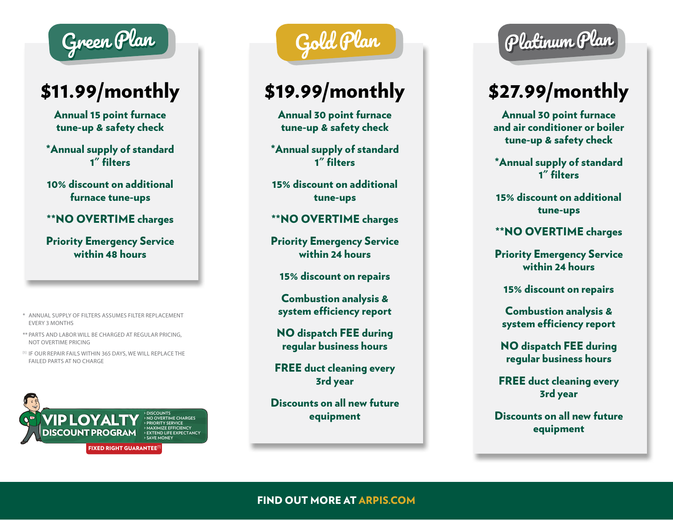

## \$11.99/monthly

Annual 15 point furnace tune-up & safety check

\*Annual supply of standard 1" filters

10% discount on additional furnace tune-ups

\*\*NO OVERTIME charges

Priority Emergency Service within 48 hours

- \* ANNUAL SUPPLY OF FILTERS ASSUMES FILTER REPLACEMENT EVERY 3 MONTHS
- \*\* PARTS AND LABOR WILL BE CHARGED AT REGULAR PRICING, NOT OVERTIME PRICING
- [1] IF OUR REPAIR FAILS WITHIN 365 DAYS, WE WILL REPLACE THE FAILED PARTS AT NO CHARGE





## \$19.99/monthly

Annual 30 point furnace tune-up & safety check

\*Annual supply of standard 1" filters

15% discount on additional tune-ups

\*\*NO OVERTIME charges

Priority Emergency Service within 24 hours

15% discount on repairs

Combustion analysis & system efficiency report

NO dispatch FEE during regular business hours

FREE duct cleaning every 3rd year

Discounts on all new future equipment

# Platinum Plan

## \$27.99/monthly

Annual 30 point furnace and air conditioner or boiler tune-up & safety check

\*Annual supply of standard 1" filters

15% discount on additional tune-ups

### \*\*NO OVERTIME charges

Priority Emergency Service within 24 hours

15% discount on repairs

Combustion analysis & system efficiency report

NO dispatch FEE during regular business hours

FREE duct cleaning every 3rd year

Discounts on all new future equipment

### FIND OUT MORE AT ARPIS.COM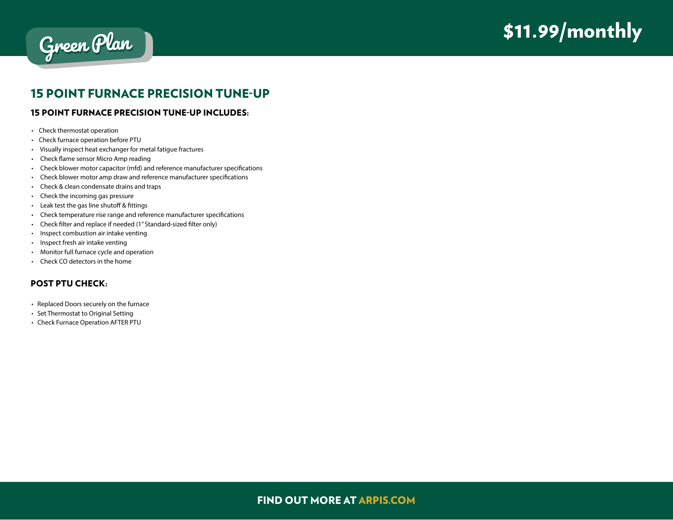

### 15 POINT FURNACE PRECISION TUNE-UP

### 15 POINT FURNACE PRECISION TUNE-UP INCLUDES:

- Check thermostat operation
- Check furnace operation before PTU
- Visually inspect heat exchanger for metal fatigue fractures
- Check flame sensor Micro Amp reading
- Check blower motor capacitor (mfd) and reference manufacturer specifications
- Check blower motor amp draw and reference manufacturer specifications
- Check & clean condensate drains and traps
- Check the incoming gas pressure
- Leak test the gas line shutoff & fittings
- Check temperature rise range and reference manufacturer specifications
- Check filter and replace if needed (1" Standard-sized filter only)
- Inspect combustion air intake venting
- Inspect fresh air intake venting
- Monitor full furnace cycle and operation
- Check CO detectors in the home

#### POST PTU CHECK:

- Replaced Doors securely on the furnace
- Set Thermostat to Original Setting
- Check Furnace Operation AFTER PTU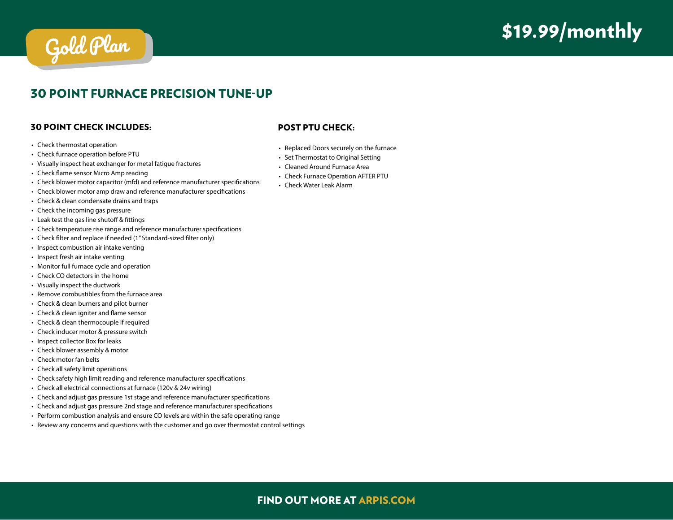## \$19.99/monthly



### 30 POINT FURNACE PRECISION TUNE-UP

#### 30 POINT CHECK INCLUDES:

- Check thermostat operation
- Check furnace operation before PTU
- Visually inspect heat exchanger for metal fatigue fractures
- Check flame sensor Micro Amp reading
- Check blower motor capacitor (mfd) and reference manufacturer specifications
- Check blower motor amp draw and reference manufacturer specifications
- Check & clean condensate drains and traps
- Check the incoming gas pressure
- Leak test the gas line shutoff & fittings
- Check temperature rise range and reference manufacturer specifications
- Check filter and replace if needed (1" Standard-sized filter only)
- Inspect combustion air intake venting
- Inspect fresh air intake venting
- Monitor full furnace cycle and operation
- Check CO detectors in the home
- Visually inspect the ductwork
- Remove combustibles from the furnace area
- Check & clean burners and pilot burner
- Check & clean igniter and flame sensor
- Check & clean thermocouple if required
- Check inducer motor & pressure switch
- Inspect collector Box for leaks
- Check blower assembly & motor
- Check motor fan belts
- Check all safety limit operations
- Check safety high limit reading and reference manufacturer specifications
- Check all electrical connections at furnace (120v & 24v wiring)
- Check and adjust gas pressure 1st stage and reference manufacturer specifications
- Check and adjust gas pressure 2nd stage and reference manufacturer specifications
- Perform combustion analysis and ensure CO levels are within the safe operating range
- Review any concerns and questions with the customer and go over thermostat control settings

#### POST PTU CHECK:

- Replaced Doors securely on the furnace
- Set Thermostat to Original Setting
- Cleaned Around Furnace Area
- Check Furnace Operation AFTER PTU
- Check Water Leak Alarm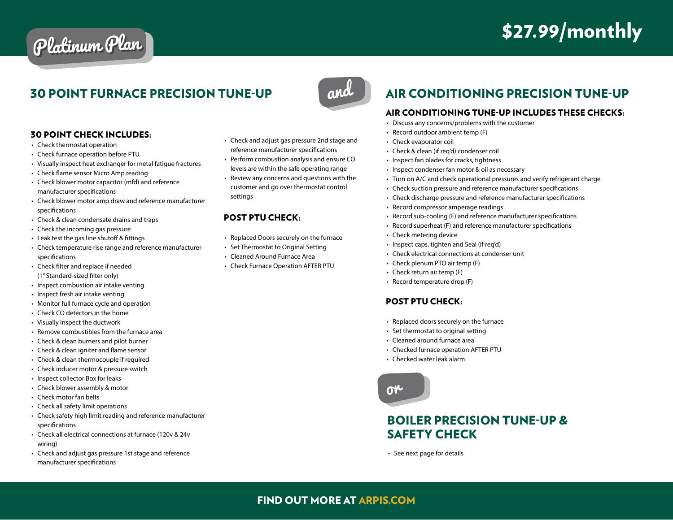## \$27.99/monthly

## Platinum Plan

### 30 POINT FURNACE PRECISION TUNE-UP



### 30 POINT CHECK INCLUDES:

- Check thermostat operation
- Check furnace operation before PTU
- Visually inspect heat exchanger for metal fatigue fractures
- Check flame sensor Micro Amp reading
- Check blower motor capacitor (mfd) and reference manufacturer specifications
- Check blower motor amp draw and reference manufacturer specifications
- Check & clean condensate drains and traps
- Check the incoming gas pressure
- Leak test the gas line shutoff & fittings
- Check temperature rise range and reference manufacturer specifications
- Check filter and replace if needed (1" Standard-sized filter only)
- Inspect combustion air intake venting
- Inspect fresh air intake venting
- Monitor full furnace cycle and operation
- Check CO detectors in the home
- Visually inspect the ductwork
- Remove combustibles from the furnace area
- Check & clean burners and pilot burner
- Check & clean igniter and flame sensor
- Check & clean thermocouple if required
- Check inducer motor & pressure switch
- Inspect collector Box for leaks
- Check blower assembly & motor
- Check motor fan belts
- Check all safety limit operations
- Check safety high limit reading and reference manufacturer specifications
- Check all electrical connections at furnace (120v & 24v wiring)
- Check and adjust gas pressure 1st stage and reference manufacturer specifications
- Check and adjust gas pressure 2nd stage and reference manufacturer specifications
- Perform combustion analysis and ensure CO levels are within the safe operating range
- Review any concerns and questions with the customer and go over thermostat control settings

#### POST PTU CHECK:

- Replaced Doors securely on the furnace
- Set Thermostat to Original Setting
- Cleaned Around Furnace Area
- Check Furnace Operation AFTER PTU

### AIR CONDITIONING PRECISION TUNE-UP

#### AIR CONDITIONING TUNE-UP INCLUDES THESE CHECKS:

- Discuss any concerns/problems with the customer
- Record outdoor ambient temp (F)
- Check evaporator coil
- Check & clean (if req'd) condenser coil
- Inspect fan blades for cracks, tightness
- Inspect condenser fan motor & oil as necessary
- Turn on A/C and check operational pressures and verify refrigerant charge
- Check suction pressure and reference manufacturer specifications
- Check discharge pressure and reference manufacturer specifications
- Record compressor amperage readings
- Record sub-cooling (F) and reference manufacturer specifications
- Record superheat (F) and reference manufacturer specifications
- Check metering device
- Inspect caps, tighten and Seal (if reg'd)
- Check electrical connections at condenser unit
- Check plenum PTO air temp (F)
- Check return air temp (F)
- Record temperature drop (F)

#### POST PTU CHECK:

- Replaced doors securely on the furnace
- Set thermostat to original setting
- Cleaned around furnace area
- Checked furnace operation AFTER PTU
- Checked water leak alarm



### BOILER PRECISION TUNE-UP & SAFETY CHECK

• See next page for details

### FIND OUT MORE AT ARPIS.COM

- 
-